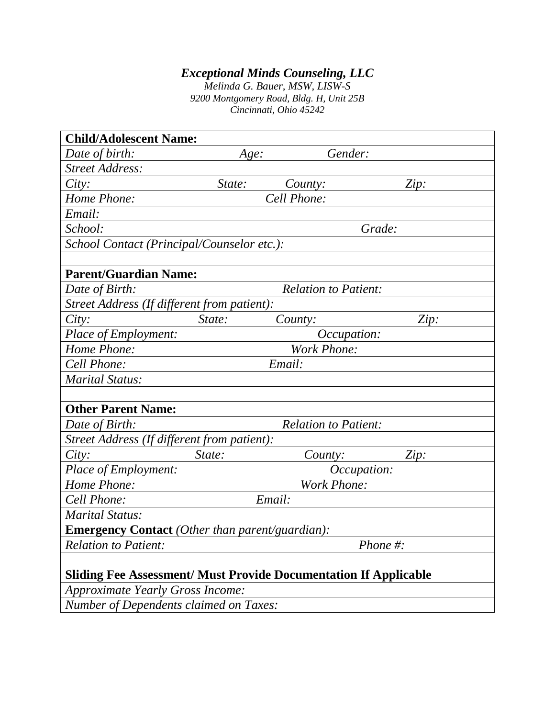## *Exceptional Minds Counseling, LLC*

*Melinda G. Bauer, MSW, LISW-S 9200 Montgomery Road, Bldg. H, Unit 25B Cincinnati, Ohio 45242*

| <b>Child/Adolescent Name:</b>                                           |        |                             |             |
|-------------------------------------------------------------------------|--------|-----------------------------|-------------|
| Date of birth:                                                          | Age:   | Gender:                     |             |
| <b>Street Address:</b>                                                  |        |                             |             |
| City:                                                                   | State: | County:                     | Zip:        |
| Home Phone:                                                             |        | Cell Phone:                 |             |
| Email:                                                                  |        |                             |             |
| School:                                                                 |        |                             | Grade:      |
| School Contact (Principal/Counselor etc.):                              |        |                             |             |
|                                                                         |        |                             |             |
| <b>Parent/Guardian Name:</b>                                            |        |                             |             |
| Date of Birth:                                                          |        | <b>Relation to Patient:</b> |             |
| Street Address (If different from patient):                             |        |                             |             |
| City:                                                                   | State: | County:                     | Zip:        |
| Place of Employment:                                                    |        | <i>Occupation:</i>          |             |
| Home Phone:                                                             |        | <b>Work Phone:</b>          |             |
| Cell Phone:                                                             |        | Email:                      |             |
| <b>Marital Status:</b>                                                  |        |                             |             |
|                                                                         |        |                             |             |
| <b>Other Parent Name:</b>                                               |        |                             |             |
| Date of Birth:                                                          |        | <b>Relation to Patient:</b> |             |
| Street Address (If different from patient):                             |        |                             |             |
| City:                                                                   | State: | County:                     | Zip:        |
| Place of Employment:                                                    |        | <i>Occupation:</i>          |             |
| Home Phone:                                                             |        | <b>Work Phone:</b>          |             |
| Cell Phone:                                                             |        | Email:                      |             |
| <b>Marital Status:</b>                                                  |        |                             |             |
| <b>Emergency Contact</b> (Other than parent/guardian):                  |        |                             |             |
| <b>Relation to Patient:</b>                                             |        |                             | Phone $#$ : |
|                                                                         |        |                             |             |
| <b>Sliding Fee Assessment/ Must Provide Documentation If Applicable</b> |        |                             |             |
| <b>Approximate Yearly Gross Income:</b>                                 |        |                             |             |
| <b>Number of Dependents claimed on Taxes:</b>                           |        |                             |             |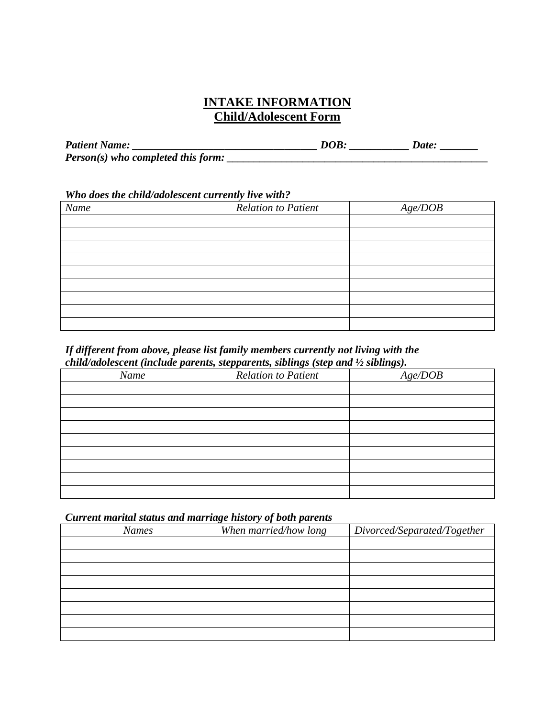### **INTAKE INFORMATION Child/Adolescent Form**

| <b>Patient Name:</b>                 | DOB | Date: |
|--------------------------------------|-----|-------|
| $Person(s)$ who completed this form: |     |       |

#### *Who does the child/adolescent currently live with?*

| Name | <b>Relation to Patient</b> | Age/DOB |
|------|----------------------------|---------|
|      |                            |         |
|      |                            |         |
|      |                            |         |
|      |                            |         |
|      |                            |         |
|      |                            |         |
|      |                            |         |
|      |                            |         |
|      |                            |         |

#### *If different from above, please list family members currently not living with the child/adolescent (include parents, stepparents, siblings (step and ½ siblings).*

| Name | <b>Relation to Patient</b> | Age/DOB |
|------|----------------------------|---------|
|      |                            |         |
|      |                            |         |
|      |                            |         |
|      |                            |         |
|      |                            |         |
|      |                            |         |
|      |                            |         |
|      |                            |         |
|      |                            |         |

#### *Current marital status and marriage history of both parents*

| <b>Names</b> | When married/how long | Divorced/Separated/Together |
|--------------|-----------------------|-----------------------------|
|              |                       |                             |
|              |                       |                             |
|              |                       |                             |
|              |                       |                             |
|              |                       |                             |
|              |                       |                             |
|              |                       |                             |
|              |                       |                             |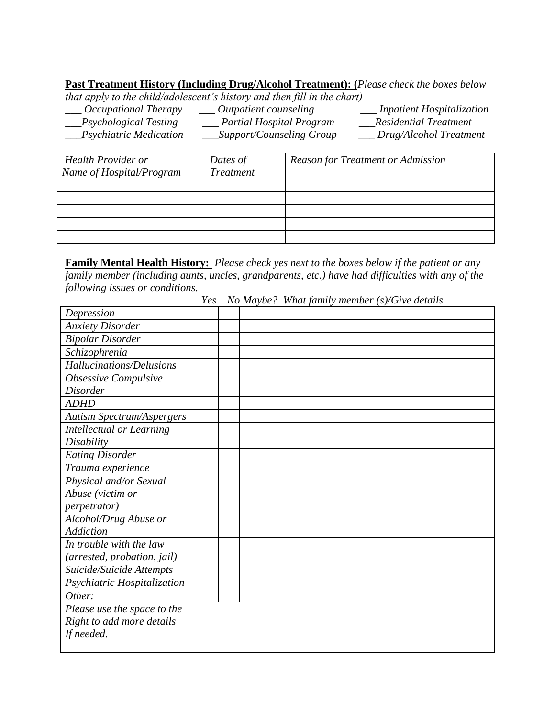**Past Treatment History (Including Drug/Alcohol Treatment): (***Please check the boxes below* 

*that apply to the child/adolescent's history and then fill in the chart)*

| Occupational Therapy       | Outpatient counseling           | <b>Inpatient Hospitalization</b> |
|----------------------------|---------------------------------|----------------------------------|
| Psychological Testing      | <b>Partial Hospital Program</b> | <b>Residential Treatment</b>     |
| $_P$ Sychiatric Medication | Support/Counseling Group        | Drug/Alcohol Treatment           |

| <b>Health Provider or</b> | Dates of  | <b>Reason for Treatment or Admission</b> |
|---------------------------|-----------|------------------------------------------|
| Name of Hospital/Program  | Treatment |                                          |
|                           |           |                                          |
|                           |           |                                          |
|                           |           |                                          |
|                           |           |                                          |
|                           |           |                                          |

**Family Mental Health History:** *Please check yes next to the boxes below if the patient or any family member (including aunts, uncles, grandparents, etc.) have had difficulties with any of the following issues or conditions.*

|                                  | Yes |  | No Maybe? What family member (s)/Give details |
|----------------------------------|-----|--|-----------------------------------------------|
| Depression                       |     |  |                                               |
| <b>Anxiety Disorder</b>          |     |  |                                               |
| <b>Bipolar Disorder</b>          |     |  |                                               |
| Schizophrenia                    |     |  |                                               |
| Hallucinations/Delusions         |     |  |                                               |
| Obsessive Compulsive             |     |  |                                               |
| <b>Disorder</b>                  |     |  |                                               |
| <b>ADHD</b>                      |     |  |                                               |
| <b>Autism Spectrum/Aspergers</b> |     |  |                                               |
| <b>Intellectual or Learning</b>  |     |  |                                               |
| Disability                       |     |  |                                               |
| <b>Eating Disorder</b>           |     |  |                                               |
| Trauma experience                |     |  |                                               |
| Physical and/or Sexual           |     |  |                                               |
| Abuse (victim or                 |     |  |                                               |
| <i>perpetrator</i> )             |     |  |                                               |
| Alcohol/Drug Abuse or            |     |  |                                               |
| <b>Addiction</b>                 |     |  |                                               |
| In trouble with the law          |     |  |                                               |
| (arrested, probation, jail)      |     |  |                                               |
| Suicide/Suicide Attempts         |     |  |                                               |
| Psychiatric Hospitalization      |     |  |                                               |
| Other:                           |     |  |                                               |
| Please use the space to the      |     |  |                                               |
| Right to add more details        |     |  |                                               |
| If needed.                       |     |  |                                               |
|                                  |     |  |                                               |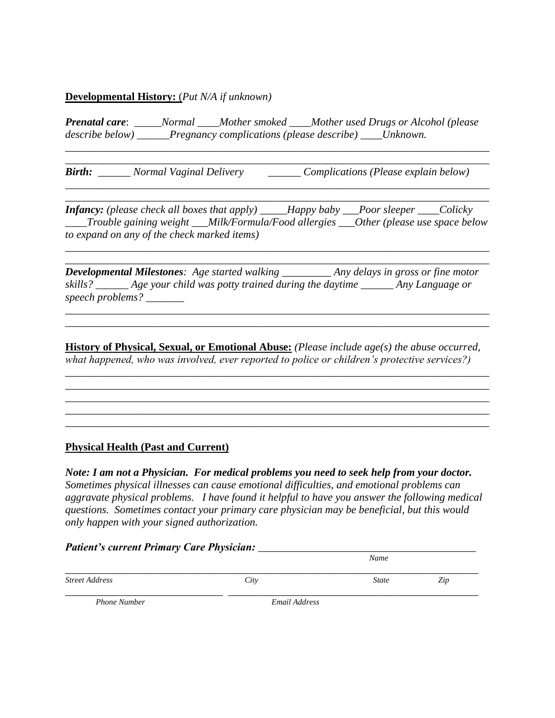#### **Developmental History:** (*Put N/A if unknown)*

*Prenatal care*: *\_\_\_\_\_Normal \_\_\_\_Mother smoked \_\_\_\_Mother used Drugs or Alcohol (please describe below) \_\_\_\_\_\_Pregnancy complications (please describe) \_\_\_\_Unknown.*

*\_\_\_\_\_\_\_\_\_\_\_\_\_\_\_\_\_\_\_\_\_\_\_\_\_\_\_\_\_\_\_\_\_\_\_\_\_\_\_\_\_\_\_\_\_\_\_\_\_\_\_\_\_\_\_\_\_\_\_\_\_\_\_\_\_\_\_\_\_\_\_\_\_\_\_\_\_\_*

*\_\_\_\_\_\_\_\_\_\_\_\_\_\_\_\_\_\_\_\_\_\_\_\_\_\_\_\_\_\_\_\_\_\_\_\_\_\_\_\_\_\_\_\_\_\_\_\_\_\_\_\_\_\_\_\_\_\_\_\_\_\_\_\_\_\_\_\_\_\_\_\_\_\_\_\_\_\_*

*Birth: Normal Vaginal Delivery Complications (Please explain below)* 

*\_\_\_\_\_\_\_\_\_\_\_\_\_\_\_\_\_\_\_\_\_\_\_\_\_\_\_\_\_\_\_\_\_\_\_\_\_\_\_\_\_\_\_\_\_\_\_\_\_\_\_\_\_\_\_\_\_\_\_\_\_\_\_\_\_\_\_\_\_\_\_\_\_\_\_\_\_\_*

*\_\_\_\_\_\_\_\_\_\_\_\_\_\_\_\_\_\_\_\_\_\_\_\_\_\_\_\_\_\_\_\_\_\_\_\_\_\_\_\_\_\_\_\_\_\_\_\_\_\_\_\_\_\_\_\_\_\_\_\_\_\_\_\_\_\_\_\_\_\_\_\_\_\_\_\_\_\_ Infancy: (please check all boxes that apply) \_\_\_\_\_Happy baby \_\_\_Poor sleeper \_\_\_\_Colicky \_\_\_\_Trouble gaining weight \_\_\_Milk/Formula/Food allergies \_\_\_Other (please use space below to expand on any of the check marked items)*

*\_\_\_\_\_\_\_\_\_\_\_\_\_\_\_\_\_\_\_\_\_\_\_\_\_\_\_\_\_\_\_\_\_\_\_\_\_\_\_\_\_\_\_\_\_\_\_\_\_\_\_\_\_\_\_\_\_\_\_\_\_\_\_\_\_\_\_\_\_\_\_\_\_\_\_\_\_\_*

*\_\_\_\_\_\_\_\_\_\_\_\_\_\_\_\_\_\_\_\_\_\_\_\_\_\_\_\_\_\_\_\_\_\_\_\_\_\_\_\_\_\_\_\_\_\_\_\_\_\_\_\_\_\_\_\_\_\_\_\_\_\_\_\_\_\_\_\_\_\_\_\_\_\_\_\_\_\_ Developmental Milestones: Age started walking \_\_\_\_\_\_\_\_\_ Any delays in gross or fine motor skills? \_\_\_\_\_\_ Age your child was potty trained during the daytime \_\_\_\_\_\_ Any Language or speech problems? \_\_\_\_\_\_\_* 

*\_\_\_\_\_\_\_\_\_\_\_\_\_\_\_\_\_\_\_\_\_\_\_\_\_\_\_\_\_\_\_\_\_\_\_\_\_\_\_\_\_\_\_\_\_\_\_\_\_\_\_\_\_\_\_\_\_\_\_\_\_\_\_\_\_\_\_\_\_\_\_\_\_\_\_\_\_\_ \_\_\_\_\_\_\_\_\_\_\_\_\_\_\_\_\_\_\_\_\_\_\_\_\_\_\_\_\_\_\_\_\_\_\_\_\_\_\_\_\_\_\_\_\_\_\_\_\_\_\_\_\_\_\_\_\_\_\_\_\_\_\_\_\_\_\_\_\_\_\_\_\_\_\_\_\_\_*

**History of Physical, Sexual, or Emotional Abuse:** *(Please include age(s) the abuse occurred, what happened, who was involved, ever reported to police or children's protective services?)* 

\_\_\_\_\_\_\_\_\_\_\_\_\_\_\_\_\_\_\_\_\_\_\_\_\_\_\_\_\_\_\_\_\_\_\_\_\_\_\_\_\_\_\_\_\_\_\_\_\_\_\_\_\_\_\_\_\_\_\_\_\_\_\_\_\_\_\_\_\_\_\_\_\_\_\_\_\_\_ \_\_\_\_\_\_\_\_\_\_\_\_\_\_\_\_\_\_\_\_\_\_\_\_\_\_\_\_\_\_\_\_\_\_\_\_\_\_\_\_\_\_\_\_\_\_\_\_\_\_\_\_\_\_\_\_\_\_\_\_\_\_\_\_\_\_\_\_\_\_\_\_\_\_\_\_\_\_ \_\_\_\_\_\_\_\_\_\_\_\_\_\_\_\_\_\_\_\_\_\_\_\_\_\_\_\_\_\_\_\_\_\_\_\_\_\_\_\_\_\_\_\_\_\_\_\_\_\_\_\_\_\_\_\_\_\_\_\_\_\_\_\_\_\_\_\_\_\_\_\_\_\_\_\_\_\_ \_\_\_\_\_\_\_\_\_\_\_\_\_\_\_\_\_\_\_\_\_\_\_\_\_\_\_\_\_\_\_\_\_\_\_\_\_\_\_\_\_\_\_\_\_\_\_\_\_\_\_\_\_\_\_\_\_\_\_\_\_\_\_\_\_\_\_\_\_\_\_\_\_\_\_\_\_\_ \_\_\_\_\_\_\_\_\_\_\_\_\_\_\_\_\_\_\_\_\_\_\_\_\_\_\_\_\_\_\_\_\_\_\_\_\_\_\_\_\_\_\_\_\_\_\_\_\_\_\_\_\_\_\_\_\_\_\_\_\_\_\_\_\_\_\_\_\_\_\_\_\_\_\_\_\_\_

#### **Physical Health (Past and Current)**

*Note: I am not a Physician. For medical problems you need to seek help from your doctor. Sometimes physical illnesses can cause emotional difficulties, and emotional problems can aggravate physical problems. I have found it helpful to have you answer the following medical questions. Sometimes contact your primary care physician may be beneficial, but this would only happen with your signed authorization.*

# *Patient's current Primary Care Physician: \_\_\_\_\_\_\_\_\_\_\_\_\_\_\_\_\_\_\_\_\_\_\_\_\_\_\_\_\_\_\_\_\_\_\_\_\_\_\_\_*

|                       |      | Name         |     |  |
|-----------------------|------|--------------|-----|--|
| <b>Street Address</b> | City | <b>State</b> | Zip |  |

 *Phone Number Email Address*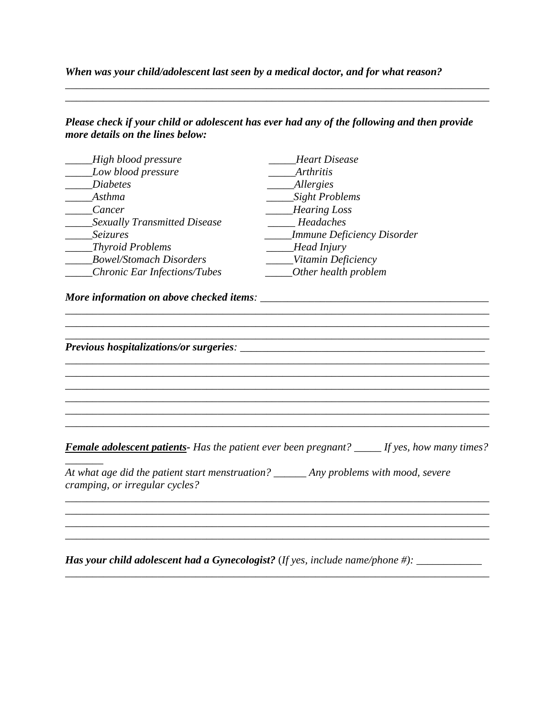#### *When was your child/adolescent last seen by a medical doctor, and for what reason?*

#### *Please check if your child or adolescent has ever had any of the following and then provide more details on the lines below:*

*\_\_\_\_\_\_\_\_\_\_\_\_\_\_\_\_\_\_\_\_\_\_\_\_\_\_\_\_\_\_\_\_\_\_\_\_\_\_\_\_\_\_\_\_\_\_\_\_\_\_\_\_\_\_\_\_\_\_\_\_\_\_\_\_\_\_\_\_\_\_\_\_\_\_\_\_\_\_ \_\_\_\_\_\_\_\_\_\_\_\_\_\_\_\_\_\_\_\_\_\_\_\_\_\_\_\_\_\_\_\_\_\_\_\_\_\_\_\_\_\_\_\_\_\_\_\_\_\_\_\_\_\_\_\_\_\_\_\_\_\_\_\_\_\_\_\_\_\_\_\_\_\_\_\_\_\_*

| High blood pressure<br>Low blood pressure | Heart Disease                 |
|-------------------------------------------|-------------------------------|
|                                           | <i>Arthritis</i>              |
| <b>Diabetes</b>                           | _Allergies                    |
| Asthma                                    | _____Sight Problems           |
| Cancer                                    | Hearing Loss                  |
| Sexually Transmitted Disease              | Headaches                     |
| Seizures                                  | ___Immune Deficiency Disorder |
| Thyroid Problems                          | $\_\_\_\_Head\,Injury$        |
| <b>Bowel/Stomach Disorders</b>            | Vitamin Deficiency            |
| Chronic Ear Infections/Tubes              | _______Other health problem   |
|                                           |                               |
|                                           |                               |
|                                           |                               |

*Has your child adolescent had a Gynecologist?* (*If yes, include name/phone #): \_\_\_\_\_\_\_\_\_\_\_\_* 

*\_\_\_\_\_\_\_\_\_\_\_\_\_\_\_\_\_\_\_\_\_\_\_\_\_\_\_\_\_\_\_\_\_\_\_\_\_\_\_\_\_\_\_\_\_\_\_\_\_\_\_\_\_\_\_\_\_\_\_\_\_\_\_\_\_\_\_\_\_\_\_\_\_\_\_\_\_\_*

*\_\_\_\_\_\_\_\_\_\_\_\_\_\_\_\_\_\_\_\_\_\_\_\_\_\_\_\_\_\_\_\_\_\_\_\_\_\_\_\_\_\_\_\_\_\_\_\_\_\_\_\_\_\_\_\_\_\_\_\_\_\_\_\_\_\_\_\_\_\_\_\_\_\_\_\_\_\_*

*\_\_\_\_\_\_\_\_\_\_\_\_\_\_\_\_\_\_\_\_\_\_\_\_\_\_\_\_\_\_\_\_\_\_\_\_\_\_\_\_\_\_\_\_\_\_\_\_\_\_\_\_\_\_\_\_\_\_\_\_\_\_\_\_\_\_\_\_\_\_\_\_\_\_\_\_\_\_*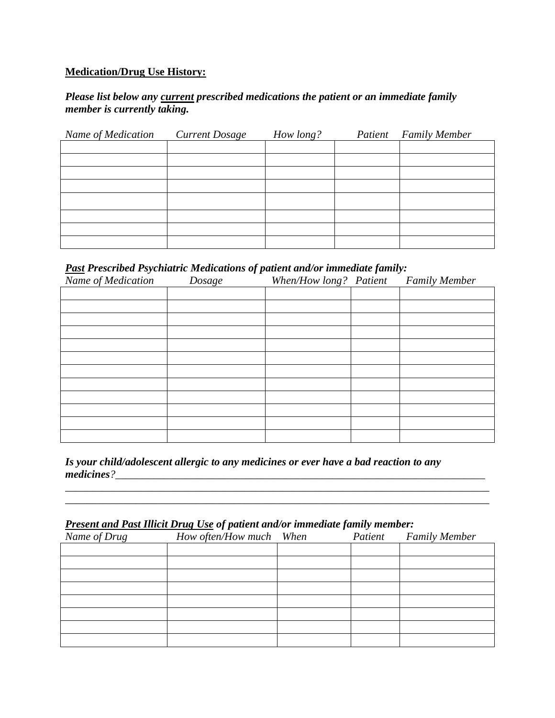#### **Medication/Drug Use History:**

#### *Please list below any current prescribed medications the patient or an immediate family member is currently taking.*

| Name of Medication | <b>Current Dosage</b> | How long? | Patient | <b>Family Member</b> |
|--------------------|-----------------------|-----------|---------|----------------------|
|                    |                       |           |         |                      |
|                    |                       |           |         |                      |
|                    |                       |           |         |                      |
|                    |                       |           |         |                      |
|                    |                       |           |         |                      |
|                    |                       |           |         |                      |
|                    |                       |           |         |                      |
|                    |                       |           |         |                      |

#### *Past Prescribed Psychiatric Medications of patient and/or immediate family:*

| Name of Medication | Dosage | When/How long? Patient | <b>Family Member</b> |
|--------------------|--------|------------------------|----------------------|
|                    |        |                        |                      |
|                    |        |                        |                      |
|                    |        |                        |                      |
|                    |        |                        |                      |
|                    |        |                        |                      |
|                    |        |                        |                      |
|                    |        |                        |                      |
|                    |        |                        |                      |
|                    |        |                        |                      |
|                    |        |                        |                      |
|                    |        |                        |                      |
|                    |        |                        |                      |

*Is your child/adolescent allergic to any medicines or ever have a bad reaction to any medicines?\_\_\_\_\_\_\_\_\_\_\_\_\_\_\_\_\_\_\_\_\_\_\_\_\_\_\_\_\_\_\_\_\_\_\_\_\_\_\_\_\_\_\_\_\_\_\_\_\_\_\_\_\_\_\_\_\_\_\_\_\_\_\_\_\_\_\_\_*

*\_\_\_\_\_\_\_\_\_\_\_\_\_\_\_\_\_\_\_\_\_\_\_\_\_\_\_\_\_\_\_\_\_\_\_\_\_\_\_\_\_\_\_\_\_\_\_\_\_\_\_\_\_\_\_\_\_\_\_\_\_\_\_\_\_\_\_\_\_\_\_\_\_\_\_\_\_\_ \_\_\_\_\_\_\_\_\_\_\_\_\_\_\_\_\_\_\_\_\_\_\_\_\_\_\_\_\_\_\_\_\_\_\_\_\_\_\_\_\_\_\_\_\_\_\_\_\_\_\_\_\_\_\_\_\_\_\_\_\_\_\_\_\_\_\_\_\_\_\_\_\_\_\_\_\_\_*

#### *Present and Past Illicit Drug Use of patient and/or immediate family member:*

| Name of Drug | How often/How much When | Patient | <b>Family Member</b> |
|--------------|-------------------------|---------|----------------------|
|              |                         |         |                      |
|              |                         |         |                      |
|              |                         |         |                      |
|              |                         |         |                      |
|              |                         |         |                      |
|              |                         |         |                      |
|              |                         |         |                      |
|              |                         |         |                      |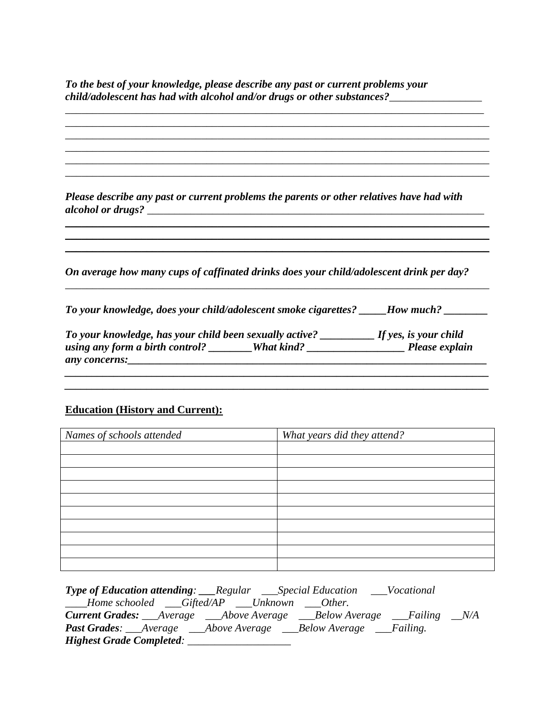*To the best of your knowledge, please describe any past or current problems your child/adolescent has had with alcohol and/or drugs or other substances?\_\_\_\_\_\_\_\_\_\_\_\_\_\_\_\_\_ \_\_\_\_\_\_\_\_\_\_\_\_\_\_\_\_\_\_\_\_\_\_\_\_\_\_\_\_\_\_\_\_\_\_\_\_\_\_\_\_\_\_\_\_\_\_\_\_\_\_\_\_\_\_\_\_\_\_\_\_\_\_\_\_\_\_\_\_\_\_\_\_\_\_\_\_\_* 

| Please describe any past or current problems the parents or other relatives have had with |  |
|-------------------------------------------------------------------------------------------|--|
|                                                                                           |  |
| On average how many cups of caffinated drinks does your child/adolescent drink per day?   |  |
| To your knowledge, does your child/adolescent smoke cigarettes? ______How much? ________  |  |

#### **Education (History and Current):**

| Names of schools attended | What years did they attend? |
|---------------------------|-----------------------------|
|                           |                             |
|                           |                             |
|                           |                             |
|                           |                             |
|                           |                             |
|                           |                             |
|                           |                             |
|                           |                             |
|                           |                             |
|                           |                             |

| <b>Type of Education attending:</b> ___Regular ____Special Education ____Vocational |  |  |
|-------------------------------------------------------------------------------------|--|--|
| Home schooled ___Gifted/AP ___Unknown ___Other.                                     |  |  |
| <b>Current Grades:</b> __Average ___Above Average ___Below Average ___Failing __N/A |  |  |
| <b>Past Grades:</b> ___Average ____Above Average ____Below Average ____Failing.     |  |  |
| Highest Grade Completed:                                                            |  |  |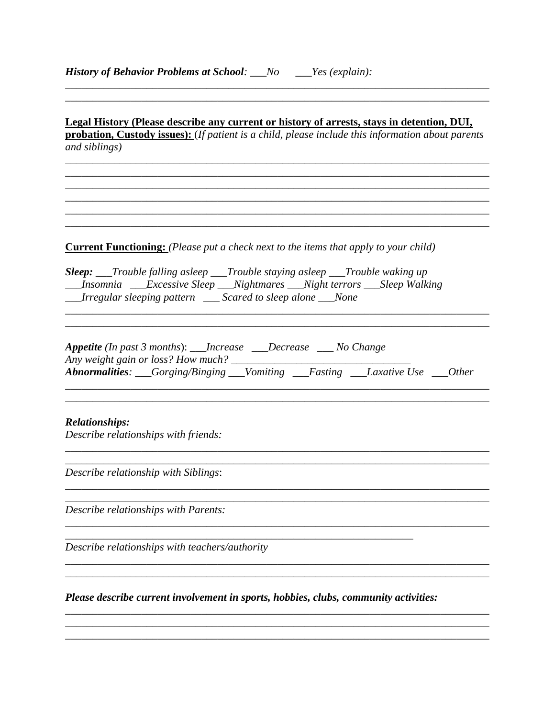| Legal History (Please describe any current or history of arrests, stays in detention, DUI,                                                                                                                                             |
|----------------------------------------------------------------------------------------------------------------------------------------------------------------------------------------------------------------------------------------|
| probation, Custody issues): (If patient is a child, please include this information about parents<br>and siblings)                                                                                                                     |
|                                                                                                                                                                                                                                        |
|                                                                                                                                                                                                                                        |
|                                                                                                                                                                                                                                        |
|                                                                                                                                                                                                                                        |
| <b>Current Functioning:</b> (Please put a check next to the items that apply to your child)                                                                                                                                            |
| <b>Sleep:</b> ___Trouble falling asleep ___Trouble staying asleep ___Trouble waking up<br>Insomnia ___Excessive Sleep ___Nightmares ___Night terrors ___Sleep Walking<br>__Irregular sleeping pattern ___ Scared to sleep alone __None |
|                                                                                                                                                                                                                                        |
| <b>Appetite</b> (In past 3 months): ___Increase ___Decrease ___ No Change                                                                                                                                                              |
|                                                                                                                                                                                                                                        |
|                                                                                                                                                                                                                                        |
| <b>Relationships:</b><br>Describe relationships with friends:                                                                                                                                                                          |
|                                                                                                                                                                                                                                        |
| Describe relationship with Siblings:                                                                                                                                                                                                   |
|                                                                                                                                                                                                                                        |
| Describe relationships with Parents:                                                                                                                                                                                                   |
|                                                                                                                                                                                                                                        |
| Describe relationships with teachers/authority                                                                                                                                                                                         |
|                                                                                                                                                                                                                                        |
| Please describe current involvement in sports, hobbies, clubs, community activities:                                                                                                                                                   |
|                                                                                                                                                                                                                                        |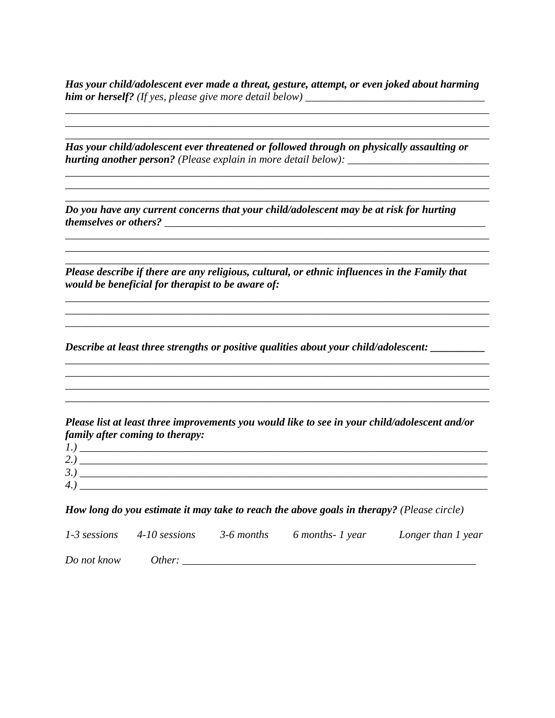*Has your child/adolescent ever made a threat, gesture, attempt, or even joked about harming him or herself? (If yes, please give more detail below) \_\_\_\_\_\_\_\_\_\_\_\_\_\_\_\_\_\_\_\_\_\_\_\_\_\_\_\_\_\_\_\_\_*

*\_\_\_\_\_\_\_\_\_\_\_\_\_\_\_\_\_\_\_\_\_\_\_\_\_\_\_\_\_\_\_\_\_\_\_\_\_\_\_\_\_\_\_\_\_\_\_\_\_\_\_\_\_\_\_\_\_\_\_\_\_\_\_\_\_\_\_\_\_\_\_\_\_\_\_\_\_\_ \_\_\_\_\_\_\_\_\_\_\_\_\_\_\_\_\_\_\_\_\_\_\_\_\_\_\_\_\_\_\_\_\_\_\_\_\_\_\_\_\_\_\_\_\_\_\_\_\_\_\_\_\_\_\_\_\_\_\_\_\_\_\_\_\_\_\_\_\_\_\_\_\_\_\_\_\_\_*

*\_\_\_\_\_\_\_\_\_\_\_\_\_\_\_\_\_\_\_\_\_\_\_\_\_\_\_\_\_\_\_\_\_\_\_\_\_\_\_\_\_\_\_\_\_\_\_\_\_\_\_\_\_\_\_\_\_\_\_\_\_\_\_\_\_\_\_\_\_\_\_\_\_\_\_\_\_\_ \_\_\_\_\_\_\_\_\_\_\_\_\_\_\_\_\_\_\_\_\_\_\_\_\_\_\_\_\_\_\_\_\_\_\_\_\_\_\_\_\_\_\_\_\_\_\_\_\_\_\_\_\_\_\_\_\_\_\_\_\_\_\_\_\_\_\_\_\_\_\_\_\_\_\_\_\_\_ \_\_\_\_\_\_\_\_\_\_\_\_\_\_\_\_\_\_\_\_\_\_\_\_\_\_\_\_\_\_\_\_\_\_\_\_\_\_\_\_\_\_\_\_\_\_\_\_\_\_\_\_\_\_\_\_\_\_\_\_\_\_\_\_\_\_\_\_\_\_\_\_\_\_\_\_\_\_*

*\_\_\_\_\_\_\_\_\_\_\_\_\_\_\_\_\_\_\_\_\_\_\_\_\_\_\_\_\_\_\_\_\_\_\_\_\_\_\_\_\_\_\_\_\_\_\_\_\_\_\_\_\_\_\_\_\_\_\_\_\_\_\_\_\_\_\_\_\_\_\_\_\_\_\_\_\_\_ \_\_\_\_\_\_\_\_\_\_\_\_\_\_\_\_\_\_\_\_\_\_\_\_\_\_\_\_\_\_\_\_\_\_\_\_\_\_\_\_\_\_\_\_\_\_\_\_\_\_\_\_\_\_\_\_\_\_\_\_\_\_\_\_\_\_\_\_\_\_\_\_\_\_\_\_\_\_ \_\_\_\_\_\_\_\_\_\_\_\_\_\_\_\_\_\_\_\_\_\_\_\_\_\_\_\_\_\_\_\_\_\_\_\_\_\_\_\_\_\_\_\_\_\_\_\_\_\_\_\_\_\_\_\_\_\_\_\_\_\_\_\_\_\_\_\_\_\_\_\_\_\_\_\_\_\_*

*\_\_\_\_\_\_\_\_\_\_\_\_\_\_\_\_\_\_\_\_\_\_\_\_\_\_\_\_\_\_\_\_\_\_\_\_\_\_\_\_\_\_\_\_\_\_\_\_\_\_\_\_\_\_\_\_\_\_\_\_\_\_\_\_\_\_\_\_\_\_\_\_\_\_\_\_\_\_ \_\_\_\_\_\_\_\_\_\_\_\_\_\_\_\_\_\_\_\_\_\_\_\_\_\_\_\_\_\_\_\_\_\_\_\_\_\_\_\_\_\_\_\_\_\_\_\_\_\_\_\_\_\_\_\_\_\_\_\_\_\_\_\_\_\_\_\_\_\_\_\_\_\_\_\_\_\_*

*\_\_\_\_\_\_\_\_\_\_\_\_\_\_\_\_\_\_\_\_\_\_\_\_\_\_\_\_\_\_\_\_\_\_\_\_\_\_\_\_\_\_\_\_\_\_\_\_\_\_\_\_\_\_\_\_\_\_\_\_\_\_\_\_\_\_\_\_\_\_\_\_\_\_\_\_\_\_*

*\_\_\_\_\_\_\_\_\_\_\_\_\_\_\_\_\_\_\_\_\_\_\_\_\_\_\_\_\_\_\_\_\_\_\_\_\_\_\_\_\_\_\_\_\_\_\_\_\_\_\_\_\_\_\_\_\_\_\_\_\_\_\_\_\_\_\_\_\_\_\_\_\_\_\_\_\_\_*

*Has your child/adolescent ever threatened or followed through on physically assaulting or hurting another person? (Please explain in more detail below): \_\_\_\_\_\_\_\_\_\_\_\_\_\_\_\_\_\_\_\_\_\_\_\_\_\_*

*Do you have any current concerns that your child/adolescent may be at risk for hurting themselves or others? \_\_\_\_\_\_\_\_\_\_\_\_\_\_\_\_\_\_\_\_\_\_\_\_\_\_\_\_\_\_\_\_\_\_\_\_\_\_\_\_\_\_\_\_\_\_\_\_\_\_\_\_\_\_\_\_\_\_\_*

*Please describe if there are any religious, cultural, or ethnic influences in the Family that would be beneficial for therapist to be aware of:* 

*Describe at least three strengths or positive qualities about your child/adolescent: \_\_\_\_\_\_\_\_\_\_*

*Please list at least three improvements you would like to see in your child/adolescent and/or family after coming to therapy:*

| . .      | _______________ |
|----------|-----------------|
| ╭<br>، ت |                 |
| ≺<br>◡   |                 |
| 4.       |                 |

*How long do you estimate it may take to reach the above goals in therapy? (Please circle)*

|             | $1-3$ sessions $4-10$ sessions | 3-6 months 6 months-1 year | Longer than 1 year |
|-------------|--------------------------------|----------------------------|--------------------|
| Do not know | Other:                         |                            |                    |